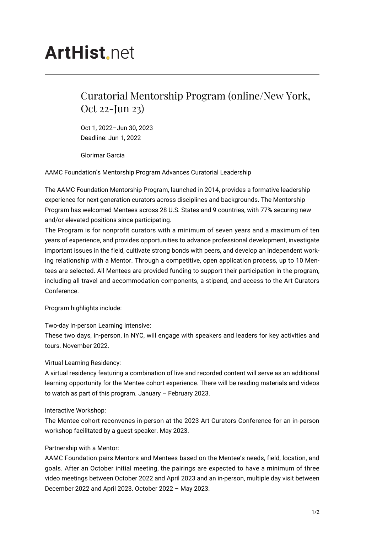# **ArtHist** net

## Curatorial Mentorship Program (online/New York, Oct 22-Jun 23)

Oct 1, 2022–Jun 30, 2023 Deadline: Jun 1, 2022

Glorimar Garcia

AAMC Foundation's Mentorship Program Advances Curatorial Leadership

The AAMC Foundation Mentorship Program, launched in 2014, provides a formative leadership experience for next generation curators across disciplines and backgrounds. The Mentorship Program has welcomed Mentees across 28 U.S. States and 9 countries, with 77% securing new and/or elevated positions since participating.

The Program is for nonprofit curators with a minimum of seven years and a maximum of ten years of experience, and provides opportunities to advance professional development, investigate important issues in the field, cultivate strong bonds with peers, and develop an independent working relationship with a Mentor. Through a competitive, open application process, up to 10 Mentees are selected. All Mentees are provided funding to support their participation in the program, including all travel and accommodation components, a stipend, and access to the Art Curators Conference.

Program highlights include:

Two-day In-person Learning Intensive:

These two days, in-person, in NYC, will engage with speakers and leaders for key activities and tours. November 2022.

Virtual Learning Residency:

A virtual residency featuring a combination of live and recorded content will serve as an additional learning opportunity for the Mentee cohort experience. There will be reading materials and videos to watch as part of this program. January – February 2023.

Interactive Workshop:

The Mentee cohort reconvenes in-person at the 2023 Art Curators Conference for an in-person workshop facilitated by a guest speaker. May 2023.

#### Partnership with a Mentor:

AAMC Foundation pairs Mentors and Mentees based on the Mentee's needs, field, location, and goals. After an October initial meeting, the pairings are expected to have a minimum of three video meetings between October 2022 and April 2023 and an in-person, multiple day visit between December 2022 and April 2023. October 2022 – May 2023.